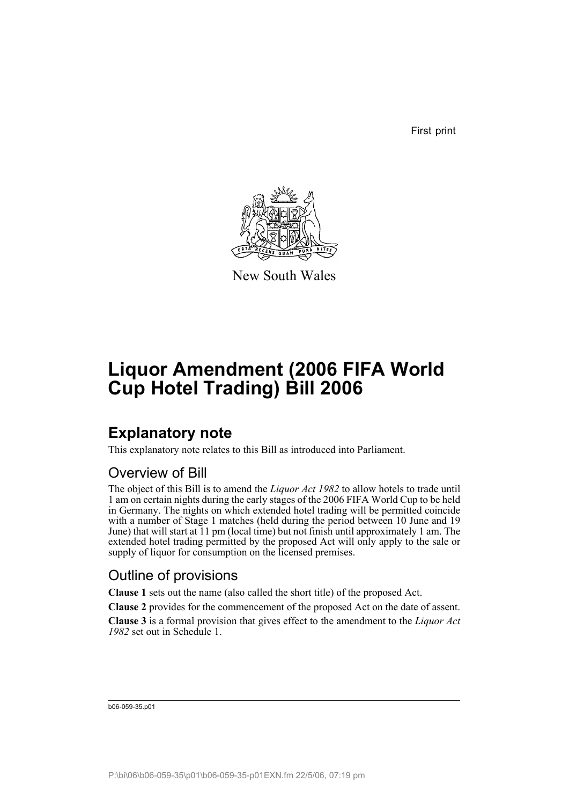First print



New South Wales

# **Liquor Amendment (2006 FIFA World Cup Hotel Trading) Bill 2006**

## **Explanatory note**

This explanatory note relates to this Bill as introduced into Parliament.

### Overview of Bill

The object of this Bill is to amend the *Liquor Act 1982* to allow hotels to trade until 1 am on certain nights during the early stages of the 2006 FIFA World Cup to be held in Germany. The nights on which extended hotel trading will be permitted coincide with a number of Stage 1 matches (held during the period between 10 June and 19 June) that will start at 11 pm (local time) but not finish until approximately 1 am. The extended hotel trading permitted by the proposed Act will only apply to the sale or supply of liquor for consumption on the licensed premises.

### Outline of provisions

**Clause 1** sets out the name (also called the short title) of the proposed Act.

**Clause 2** provides for the commencement of the proposed Act on the date of assent.

**Clause 3** is a formal provision that gives effect to the amendment to the *Liquor Act 1982* set out in Schedule 1.

b06-059-35.p01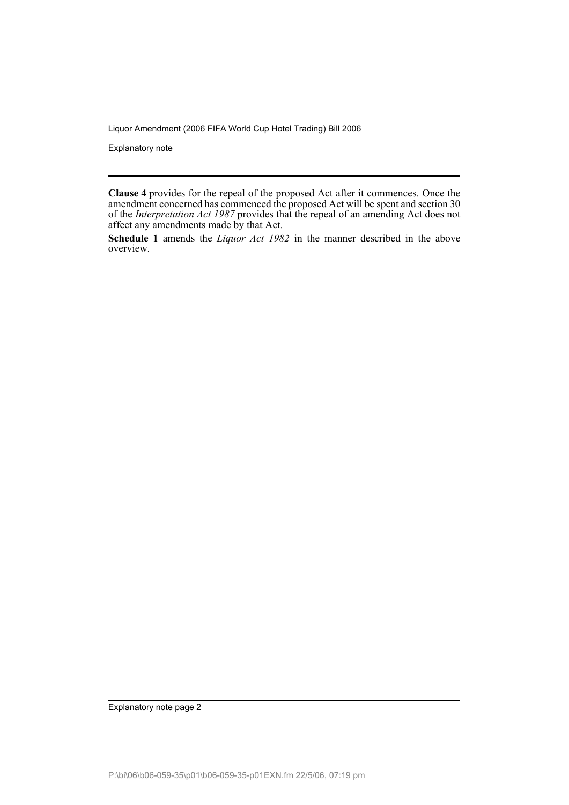Liquor Amendment (2006 FIFA World Cup Hotel Trading) Bill 2006

Explanatory note

Explanatory note page 2

**Clause 4** provides for the repeal of the proposed Act after it commences. Once the amendment concerned has commenced the proposed Act will be spent and section 30 of the *Interpretation Act 1987* provides that the repeal of an amending Act does not affect any amendments made by that Act.

**Schedule 1** amends the *Liquor Act 1982* in the manner described in the above overview.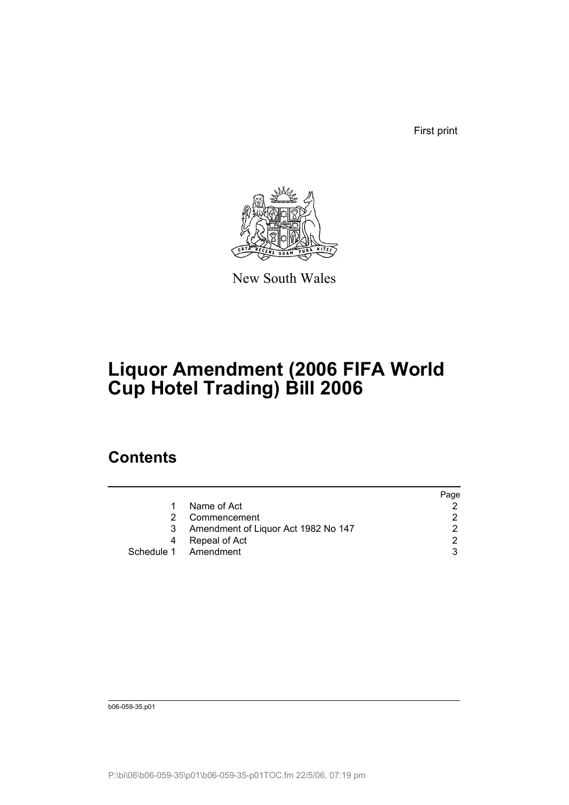First print



New South Wales

## **Liquor Amendment (2006 FIFA World Cup Hotel Trading) Bill 2006**

## **Contents**

|    |                                     | Page |
|----|-------------------------------------|------|
| 1. | Name of Act                         |      |
| 2  | Commencement                        | 2.   |
| 3  | Amendment of Liquor Act 1982 No 147 | 2    |
| 4  | Repeal of Act                       | 2    |
|    | Schedule 1 Amendment                | 3    |

b06-059-35.p01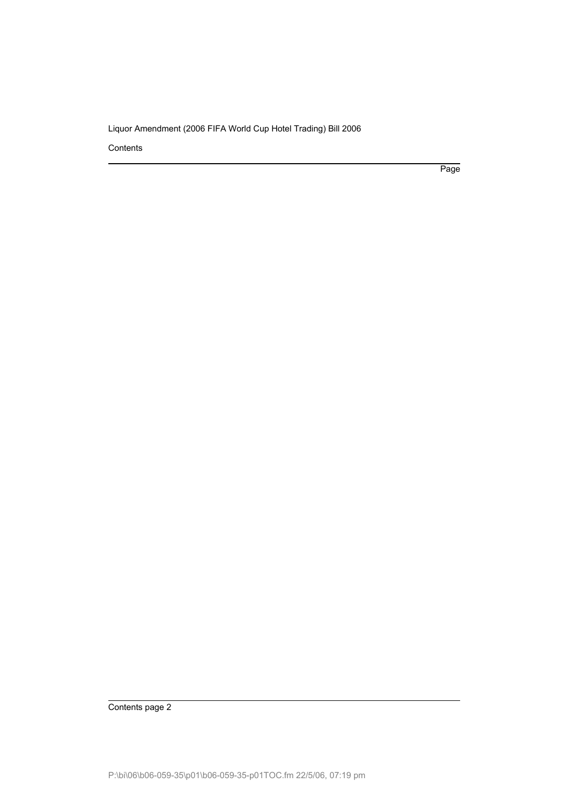Liquor Amendment (2006 FIFA World Cup Hotel Trading) Bill 2006

Contents

Page

Contents page 2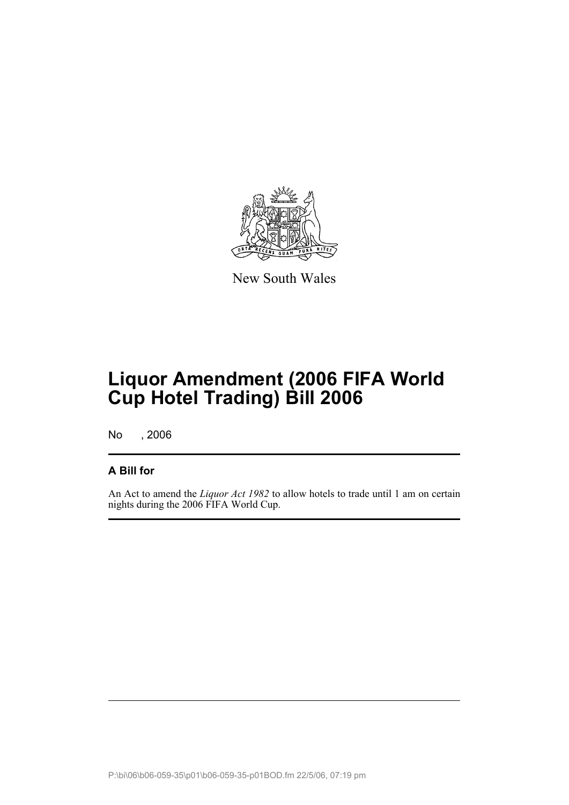

New South Wales

# **Liquor Amendment (2006 FIFA World Cup Hotel Trading) Bill 2006**

No , 2006

#### **A Bill for**

An Act to amend the *Liquor Act 1982* to allow hotels to trade until 1 am on certain nights during the 2006 FIFA World Cup.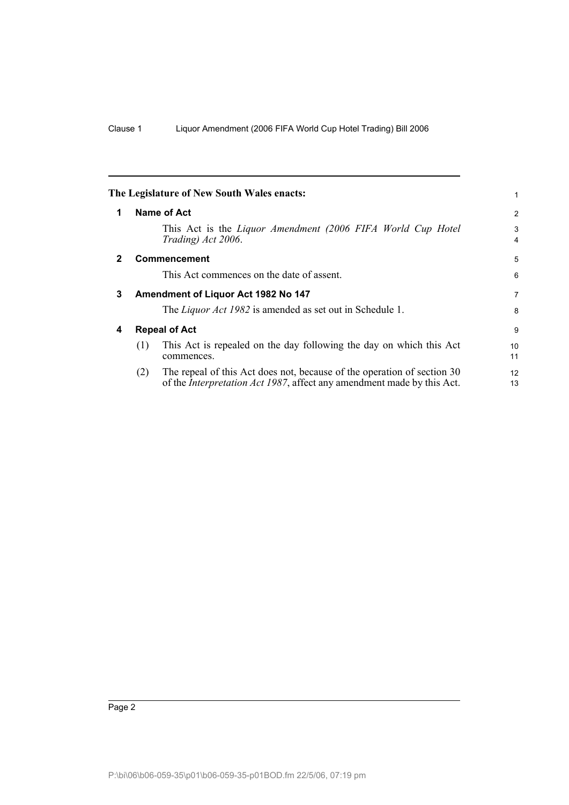<span id="page-5-3"></span><span id="page-5-2"></span><span id="page-5-1"></span><span id="page-5-0"></span>

|              |     | The Legislature of New South Wales enacts:                                                                                                                | 1                     |
|--------------|-----|-----------------------------------------------------------------------------------------------------------------------------------------------------------|-----------------------|
| 1            |     | <b>Name of Act</b>                                                                                                                                        | 2                     |
|              |     | This Act is the Liquor Amendment (2006 FIFA World Cup Hotel<br>Trading) Act 2006.                                                                         | 3<br>4                |
| $\mathbf{2}$ |     | <b>Commencement</b>                                                                                                                                       | 5                     |
|              |     | This Act commences on the date of assent.                                                                                                                 | 6                     |
| 3            |     | Amendment of Liquor Act 1982 No 147                                                                                                                       | $\overline{7}$        |
|              |     | The <i>Liquor Act 1982</i> is amended as set out in Schedule 1.                                                                                           | 8                     |
| 4            |     | <b>Repeal of Act</b>                                                                                                                                      | 9                     |
|              | (1) | This Act is repealed on the day following the day on which this Act<br>commences.                                                                         | 10 <sup>1</sup><br>11 |
|              | (2) | The repeal of this Act does not, because of the operation of section 30<br>of the <i>Interpretation Act 1987</i> , affect any amendment made by this Act. | 12<br>13              |
|              |     |                                                                                                                                                           |                       |